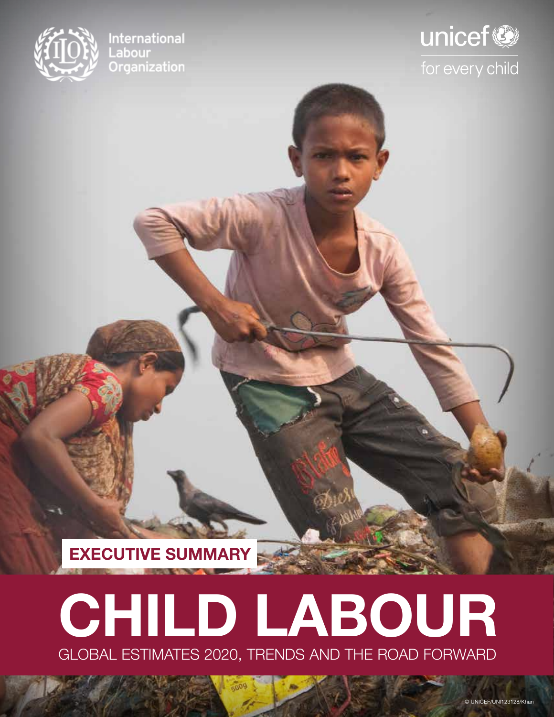

**International** Labour Organization

## unicef® for every child

**EXECUTIVE SUMMARY**

# GLOBAL ESTIMATES 2020, TRENDS AND THE ROAD FORWARD **CHILD LABOUR**

 $-009$ 

© UNICEF/UNI123128/Khan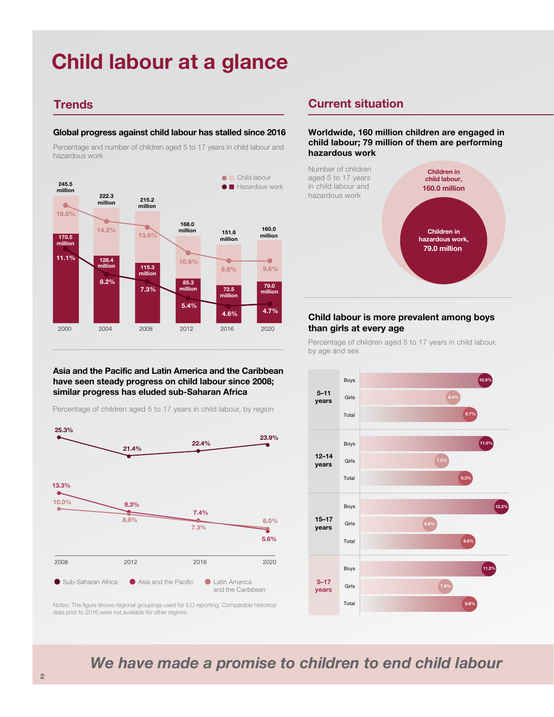### **Child labour at a glance**

#### **Global progress against child labour has stalled since 2016**

Percentage and number of children aged 5 to 17 years in child labour and hazardous work



#### **Asia and the Pacific and Latin America and the Caribbean have seen steady progress on child labour since 2008; similar progress has eluded sub-Saharan Africa**

Percentage of children aged 5 to 17 years in child labour, by region

![](_page_1_Figure_7.jpeg)

#### **Trends Current situation**

**Worldwide, 160 million children are engaged in child labour; 79 million of them are performing hazardous work**

![](_page_1_Figure_10.jpeg)

#### **Child labour is more prevalent among boys than girls at every age**

Percentage of children aged 5 to 17 years in child labour, by age and sex

![](_page_1_Figure_13.jpeg)

Notes: The figure shows regional groupings used for ILO reporting. Comparable historical data prior to 2016 were not available for other regions.

*We have made a promise to children to end child labour*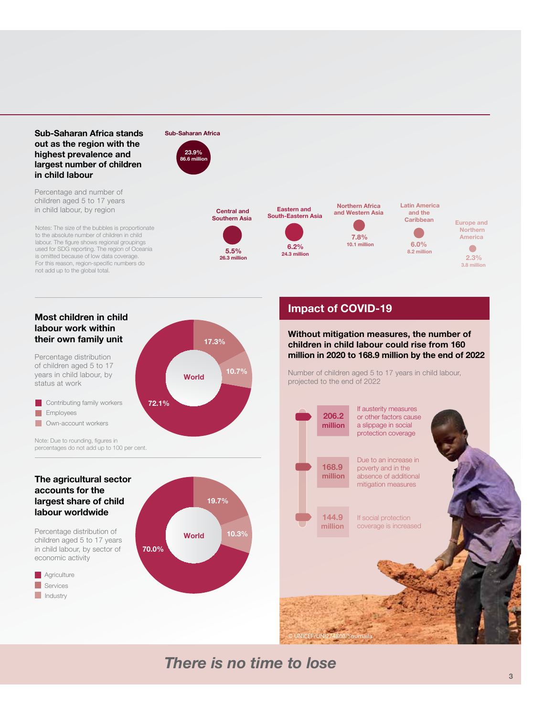#### **Sub-Saharan Africa stands out as the region with the highest prevalence and largest number of children in child labour**

Percentage and number of children aged 5 to 17 years in child labour, by region

Notes: The size of the bubbles is proportionate to the absolute number of children in child labour. The figure shows regional groupings used for SDG reporting. The region of Oceania is omitted because of low data coverage. For this reason, region-specific numbers do not add up to the global total.

#### **Sub-Saharan Africa 23.9%**

**86.6 million**

![](_page_2_Figure_4.jpeg)

**5.5% 26.3 million**

**10.7%**

**17.3%**

**World**

![](_page_2_Figure_5.jpeg)

**Eastern and** 

**24.3 million**

**South-Eastern Asia**

![](_page_2_Figure_7.jpeg)

![](_page_2_Figure_8.jpeg)

**8.2 million**

![](_page_2_Figure_9.jpeg)

#### **Most children in child labour work within their own family unit**

Percentage distribution of children aged 5 to 17 years in child labour, by status at work

**Own-account workers Employees Contributing family workers** 

Note: Due to rounding, figures in percentages do not add up to 100 per cent.

#### **The agricultural sector accounts for the largest share of child labour worldwide**

Percentage distribution of children aged 5 to 17 years in child labour, by sector of economic activity

**Asia and the Pacific Services Industry Agriculture** 

![](_page_2_Figure_17.jpeg)

**72.1%**

#### **Impact of COVID-19**

**Without mitigation measures, the number of children in child labour could rise from 160 million in 2020 to 168.9 million by the end of 2022**

Number of children aged 5 to 17 years in child labour, projected to the end of 2022

![](_page_2_Figure_21.jpeg)

© UNICEF/UNI274800/Soumaila

If austerity measures or other factors cause a slippage in social protection coverage Due to an increase in poverty and in the absence of additional mitigation measures

If social protection coverage is increased

### *There is no time to lose*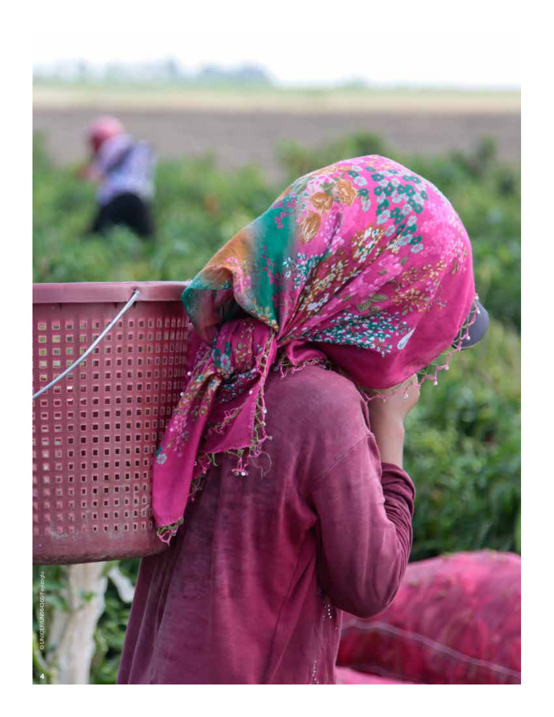![](_page_3_Picture_0.jpeg)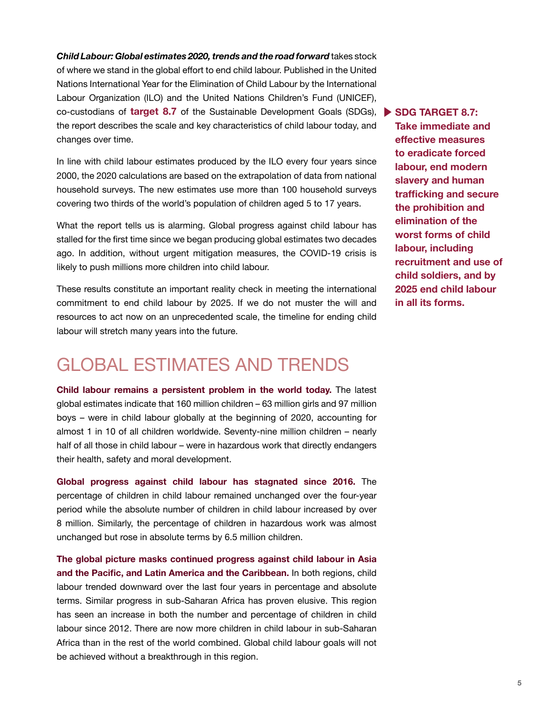co-custodians of **target 8.7** of the Sustainable Development Goals (SDGs), **SDG TARGET 8.7:** *Child Labour: Global estimates 2020, trends and the road forward* takes stock of where we stand in the global effort to end child labour. Published in the United Nations International Year for the Elimination of Child Labour by the International Labour Organization (ILO) and the United Nations Children's Fund (UNICEF), the report describes the scale and key characteristics of child labour today, and changes over time.

In line with child labour estimates produced by the ILO every four years since 2000, the 2020 calculations are based on the extrapolation of data from national household surveys. The new estimates use more than 100 household surveys covering two thirds of the world's population of children aged 5 to 17 years.

What the report tells us is alarming. Global progress against child labour has stalled for the first time since we began producing global estimates two decades ago. In addition, without urgent mitigation measures, the COVID-19 crisis is likely to push millions more children into child labour.

These results constitute an important reality check in meeting the international commitment to end child labour by 2025. If we do not muster the will and resources to act now on an unprecedented scale, the timeline for ending child labour will stretch many years into the future.

### GLOBAL ESTIMATES AND TRENDS

**Child labour remains a persistent problem in the world today.** The latest global estimates indicate that 160 million children – 63 million girls and 97 million boys – were in child labour globally at the beginning of 2020, accounting for almost 1 in 10 of all children worldwide. Seventy-nine million children – nearly half of all those in child labour – were in hazardous work that directly endangers their health, safety and moral development.

**Global progress against child labour has stagnated since 2016.** The percentage of children in child labour remained unchanged over the four-year period while the absolute number of children in child labour increased by over 8 million. Similarly, the percentage of children in hazardous work was almost unchanged but rose in absolute terms by 6.5 million children.

**The global picture masks continued progress against child labour in Asia and the Pacific, and Latin America and the Caribbean.** In both regions, child labour trended downward over the last four years in percentage and absolute terms. Similar progress in sub-Saharan Africa has proven elusive. This region has seen an increase in both the number and percentage of children in child labour since 2012. There are now more children in child labour in sub-Saharan Africa than in the rest of the world combined. Global child labour goals will not be achieved without a breakthrough in this region.

**Take immediate and effective measures to eradicate forced labour, end modern slavery and human trafficking and secure the prohibition and elimination of the worst forms of child labour, including recruitment and use of child soldiers, and by 2025 end child labour in all its forms.**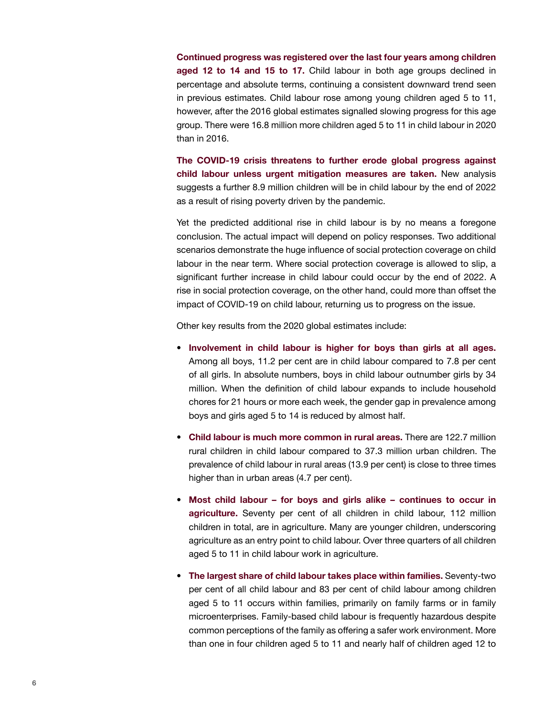**Continued progress was registered over the last four years among children aged 12 to 14 and 15 to 17.** Child labour in both age groups declined in percentage and absolute terms, continuing a consistent downward trend seen in previous estimates. Child labour rose among young children aged 5 to 11, however, after the 2016 global estimates signalled slowing progress for this age group. There were 16.8 million more children aged 5 to 11 in child labour in 2020 than in 2016.

**The COVID-19 crisis threatens to further erode global progress against child labour unless urgent mitigation measures are taken.** New analysis suggests a further 8.9 million children will be in child labour by the end of 2022 as a result of rising poverty driven by the pandemic.

Yet the predicted additional rise in child labour is by no means a foregone conclusion. The actual impact will depend on policy responses. Two additional scenarios demonstrate the huge influence of social protection coverage on child labour in the near term. Where social protection coverage is allowed to slip, a significant further increase in child labour could occur by the end of 2022. A rise in social protection coverage, on the other hand, could more than offset the impact of COVID-19 on child labour, returning us to progress on the issue.

Other key results from the 2020 global estimates include:

- **Involvement in child labour is higher for boys than girls at all ages.** Among all boys, 11.2 per cent are in child labour compared to 7.8 per cent of all girls. In absolute numbers, boys in child labour outnumber girls by 34 million. When the definition of child labour expands to include household chores for 21 hours or more each week, the gender gap in prevalence among boys and girls aged 5 to 14 is reduced by almost half.
- **Child labour is much more common in rural areas.** There are 122.7 million rural children in child labour compared to 37.3 million urban children. The prevalence of child labour in rural areas (13.9 per cent) is close to three times higher than in urban areas (4.7 per cent).
- **Most child labour for boys and girls alike continues to occur in agriculture.** Seventy per cent of all children in child labour, 112 million children in total, are in agriculture. Many are younger children, underscoring agriculture as an entry point to child labour. Over three quarters of all children aged 5 to 11 in child labour work in agriculture.
- **The largest share of child labour takes place within families.** Seventy-two per cent of all child labour and 83 per cent of child labour among children aged 5 to 11 occurs within families, primarily on family farms or in family microenterprises. Family-based child labour is frequently hazardous despite common perceptions of the family as offering a safer work environment. More than one in four children aged 5 to 11 and nearly half of children aged 12 to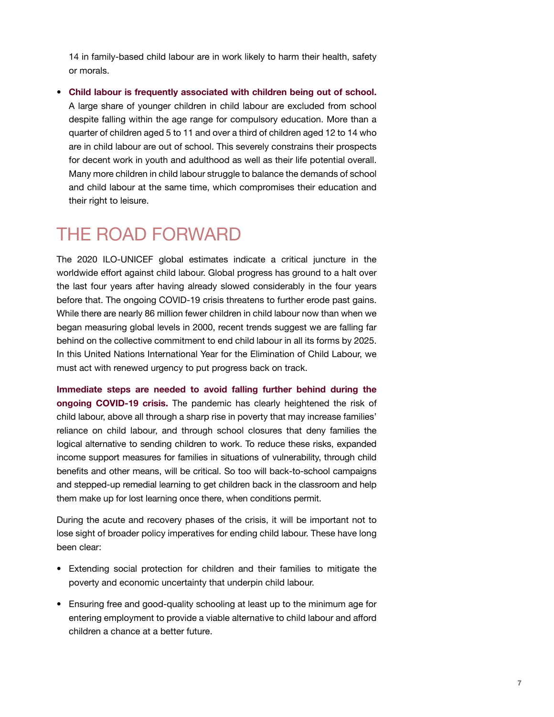14 in family-based child labour are in work likely to harm their health, safety or morals.

• **Child labour is frequently associated with children being out of school.** A large share of younger children in child labour are excluded from school despite falling within the age range for compulsory education. More than a quarter of children aged 5 to 11 and over a third of children aged 12 to 14 who are in child labour are out of school. This severely constrains their prospects for decent work in youth and adulthood as well as their life potential overall. Many more children in child labour struggle to balance the demands of school and child labour at the same time, which compromises their education and their right to leisure.

### THE ROAD FORWARD

The 2020 ILO-UNICEF global estimates indicate a critical juncture in the worldwide effort against child labour. Global progress has ground to a halt over the last four years after having already slowed considerably in the four years before that. The ongoing COVID-19 crisis threatens to further erode past gains. While there are nearly 86 million fewer children in child labour now than when we began measuring global levels in 2000, recent trends suggest we are falling far behind on the collective commitment to end child labour in all its forms by 2025. In this United Nations International Year for the Elimination of Child Labour, we must act with renewed urgency to put progress back on track.

**Immediate steps are needed to avoid falling further behind during the ongoing COVID-19 crisis.** The pandemic has clearly heightened the risk of child labour, above all through a sharp rise in poverty that may increase families' reliance on child labour, and through school closures that deny families the logical alternative to sending children to work. To reduce these risks, expanded income support measures for families in situations of vulnerability, through child benefits and other means, will be critical. So too will back-to-school campaigns and stepped-up remedial learning to get children back in the classroom and help them make up for lost learning once there, when conditions permit.

During the acute and recovery phases of the crisis, it will be important not to lose sight of broader policy imperatives for ending child labour. These have long been clear:

- Extending social protection for children and their families to mitigate the poverty and economic uncertainty that underpin child labour.
- Ensuring free and good-quality schooling at least up to the minimum age for entering employment to provide a viable alternative to child labour and afford children a chance at a better future.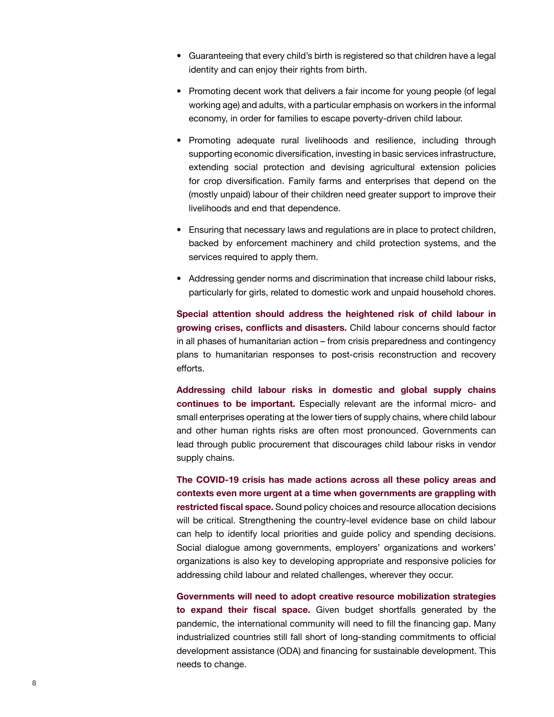- Guaranteeing that every child's birth is registered so that children have a legal identity and can enjoy their rights from birth.
- Promoting decent work that delivers a fair income for young people (of legal working age) and adults, with a particular emphasis on workers in the informal economy, in order for families to escape poverty-driven child labour.
- Promoting adequate rural livelihoods and resilience, including through supporting economic diversification, investing in basic services infrastructure, extending social protection and devising agricultural extension policies for crop diversification. Family farms and enterprises that depend on the (mostly unpaid) labour of their children need greater support to improve their livelihoods and end that dependence.
- Ensuring that necessary laws and regulations are in place to protect children, backed by enforcement machinery and child protection systems, and the services required to apply them.
- Addressing gender norms and discrimination that increase child labour risks, particularly for girls, related to domestic work and unpaid household chores.

**Special attention should address the heightened risk of child labour in growing crises, conflicts and disasters.** Child labour concerns should factor in all phases of humanitarian action – from crisis preparedness and contingency plans to humanitarian responses to post-crisis reconstruction and recovery efforts.

**Addressing child labour risks in domestic and global supply chains continues to be important.** Especially relevant are the informal micro- and small enterprises operating at the lower tiers of supply chains, where child labour and other human rights risks are often most pronounced. Governments can lead through public procurement that discourages child labour risks in vendor supply chains.

**The COVID-19 crisis has made actions across all these policy areas and contexts even more urgent at a time when governments are grappling with restricted fiscal space.** Sound policy choices and resource allocation decisions will be critical. Strengthening the country-level evidence base on child labour can help to identify local priorities and guide policy and spending decisions. Social dialogue among governments, employers' organizations and workers' organizations is also key to developing appropriate and responsive policies for addressing child labour and related challenges, wherever they occur.

**Governments will need to adopt creative resource mobilization strategies to expand their fiscal space.** Given budget shortfalls generated by the pandemic, the international community will need to fill the financing gap. Many industrialized countries still fall short of long-standing commitments to official development assistance (ODA) and financing for sustainable development. This needs to change.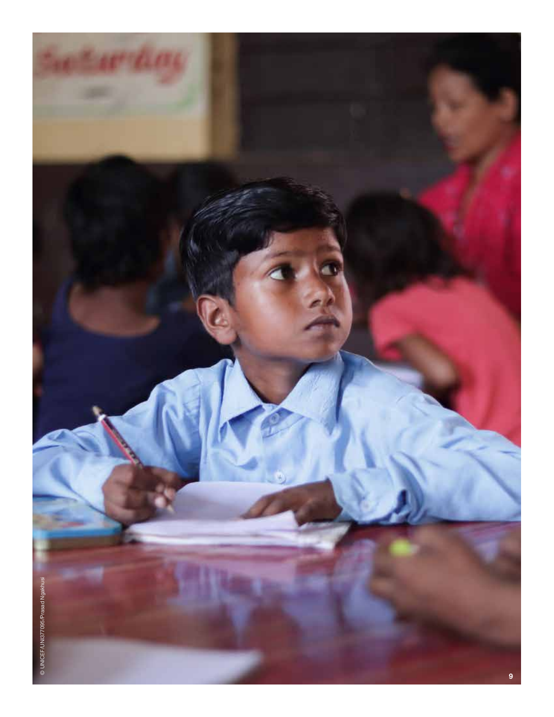![](_page_8_Picture_0.jpeg)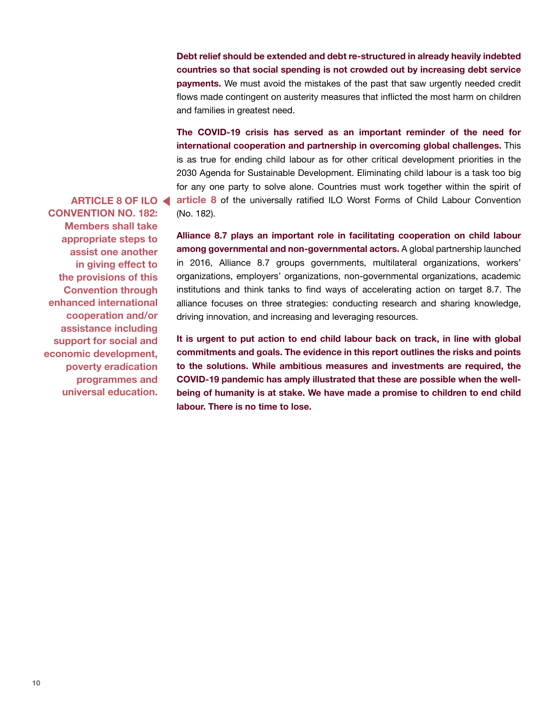**Debt relief should be extended and debt re-structured in already heavily indebted countries so that social spending is not crowded out by increasing debt service payments.** We must avoid the mistakes of the past that saw urgently needed credit flows made contingent on austerity measures that inflicted the most harm on children and families in greatest need.

**The COVID-19 crisis has served as an important reminder of the need for international cooperation and partnership in overcoming global challenges.** This is as true for ending child labour as for other critical development priorities in the 2030 Agenda for Sustainable Development. Eliminating child labour is a task too big for any one party to solve alone. Countries must work together within the spirit of **article 8** of the universally ratified ILO Worst Forms of Child Labour Convention

**ARTICLE 8 OF ILO CONVENTION NO. 182: Members shall take appropriate steps to assist one another in giving effect to the provisions of this Convention through enhanced international cooperation and/or assistance including support for social and economic development, poverty eradication programmes and universal education.**

(No. 182).

**Alliance 8.7 plays an important role in facilitating cooperation on child labour among governmental and non-governmental actors.** A global partnership launched in 2016, Alliance 8.7 groups governments, multilateral organizations, workers' organizations, employers' organizations, non-governmental organizations, academic institutions and think tanks to find ways of accelerating action on target 8.7. The alliance focuses on three strategies: conducting research and sharing knowledge, driving innovation, and increasing and leveraging resources.

**It is urgent to put action to end child labour back on track, in line with global commitments and goals. The evidence in this report outlines the risks and points to the solutions. While ambitious measures and investments are required, the COVID-19 pandemic has amply illustrated that these are possible when the wellbeing of humanity is at stake. We have made a promise to children to end child labour. There is no time to lose.**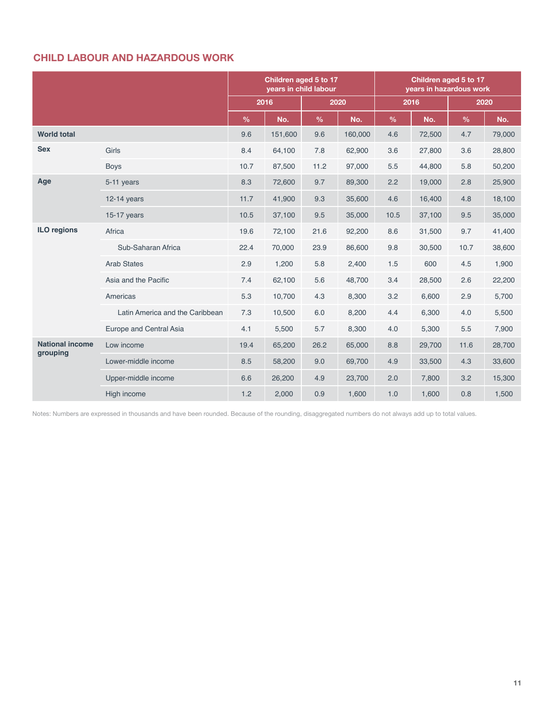#### **CHILD LABOUR AND HAZARDOUS WORK**

|                                    |                                 | Children aged 5 to 17<br>years in child labour |         |               |         | Children aged 5 to 17<br>years in hazardous work |        |               |        |
|------------------------------------|---------------------------------|------------------------------------------------|---------|---------------|---------|--------------------------------------------------|--------|---------------|--------|
|                                    |                                 | 2016                                           |         | 2020          |         | 2016                                             |        | 2020          |        |
|                                    |                                 | $\frac{9}{6}$                                  | No.     | $\frac{9}{6}$ | No.     | $\frac{0}{0}$                                    | No.    | $\frac{0}{0}$ | No.    |
| <b>World total</b>                 |                                 | 9.6                                            | 151,600 | 9.6           | 160,000 | 4.6                                              | 72,500 | 4.7           | 79,000 |
| <b>Sex</b>                         | Girls                           | 8.4                                            | 64,100  | 7.8           | 62,900  | 3.6                                              | 27,800 | 3.6           | 28,800 |
|                                    | <b>Boys</b>                     | 10.7                                           | 87,500  | 11.2          | 97,000  | 5.5                                              | 44,800 | 5.8           | 50,200 |
| Age                                | 5-11 years                      | 8.3                                            | 72,600  | 9.7           | 89,300  | 2.2                                              | 19,000 | 2.8           | 25,900 |
|                                    | $12-14$ years                   | 11.7                                           | 41,900  | 9.3           | 35,600  | 4.6                                              | 16,400 | 4.8           | 18,100 |
|                                    | 15-17 years                     | 10.5                                           | 37,100  | 9.5           | 35,000  | 10.5                                             | 37,100 | 9.5           | 35,000 |
| <b>ILO regions</b>                 | Africa                          | 19.6                                           | 72,100  | 21.6          | 92,200  | 8.6                                              | 31,500 | 9.7           | 41,400 |
|                                    | Sub-Saharan Africa              | 22.4                                           | 70,000  | 23.9          | 86,600  | 9.8                                              | 30,500 | 10.7          | 38,600 |
|                                    | <b>Arab States</b>              | 2.9                                            | 1,200   | 5.8           | 2,400   | 1.5                                              | 600    | 4.5           | 1,900  |
|                                    | Asia and the Pacific            | 7.4                                            | 62,100  | 5.6           | 48,700  | 3.4                                              | 28,500 | 2.6           | 22,200 |
|                                    | Americas                        | 5.3                                            | 10,700  | 4.3           | 8,300   | 3.2                                              | 6,600  | 2.9           | 5,700  |
|                                    | Latin America and the Caribbean | 7.3                                            | 10,500  | 6.0           | 8,200   | 4.4                                              | 6,300  | 4.0           | 5,500  |
|                                    | Europe and Central Asia         | 4.1                                            | 5,500   | 5.7           | 8,300   | 4.0                                              | 5,300  | 5.5           | 7,900  |
| <b>National income</b><br>grouping | Low income                      | 19.4                                           | 65,200  | 26.2          | 65,000  | 8.8                                              | 29,700 | 11.6          | 28,700 |
|                                    | Lower-middle income             | 8.5                                            | 58,200  | 9.0           | 69,700  | 4.9                                              | 33,500 | 4.3           | 33,600 |
|                                    | Upper-middle income             | 6.6                                            | 26,200  | 4.9           | 23,700  | 2.0                                              | 7,800  | 3.2           | 15,300 |
|                                    | High income                     | 1.2                                            | 2,000   | 0.9           | 1,600   | 1.0                                              | 1,600  | 0.8           | 1,500  |

Notes: Numbers are expressed in thousands and have been rounded. Because of the rounding, disaggregated numbers do not always add up to total values.